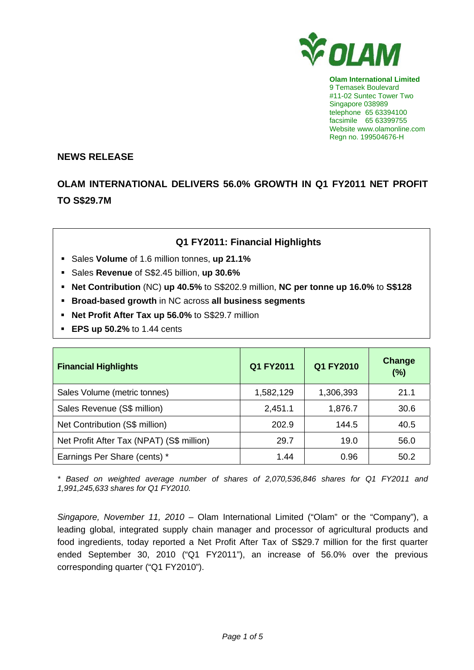

**Olam International Limited**  9 Temasek Boulevard #11-02 Suntec Tower Two Singapore 038989 telephone 65 63394100 facsimile 65 63399755 Website www.olamonline.com Regn no. 199504676-H

#### **NEWS RELEASE**

# **OLAM INTERNATIONAL DELIVERS 56.0% GROWTH IN Q1 FY2011 NET PROFIT TO S\$29.7M**

## **Q1 FY2011: Financial Highlights**

- Sales **Volume** of 1.6 million tonnes, **up 21.1%**
- Sales **Revenue** of S\$2.45 billion, **up 30.6%**
- **Net Contribution** (NC) **up 40.5%** to S\$202.9 million, **NC per tonne up 16.0%** to **S\$128**
- **Broad-based growth** in NC across **all business segments**
- **Net Profit After Tax up 56.0%** to S\$29.7 million
- **EPS up 50.2%** to 1.44 cents

| <b>Financial Highlights</b>               | Q1 FY2011 | Q1 FY2010 | Change<br>(%) |
|-------------------------------------------|-----------|-----------|---------------|
| Sales Volume (metric tonnes)              | 1,582,129 | 1,306,393 | 21.1          |
| Sales Revenue (S\$ million)               | 2,451.1   | 1,876.7   | 30.6          |
| Net Contribution (S\$ million)            | 202.9     | 144.5     | 40.5          |
| Net Profit After Tax (NPAT) (S\$ million) | 29.7      | 19.0      | 56.0          |
| Earnings Per Share (cents) *              | 1.44      | 0.96      | 50.2          |

*\* Based on weighted average number of shares of 2,070,536,846 shares for Q1 FY2011 and 1,991,245,633 shares for Q1 FY2010.* 

*Singapore, November 11, 2010 –* Olam International Limited ("Olam" or the "Company"), a leading global, integrated supply chain manager and processor of agricultural products and food ingredients, today reported a Net Profit After Tax of S\$29.7 million for the first quarter ended September 30, 2010 ("Q1 FY2011"), an increase of 56.0% over the previous corresponding quarter ("Q1 FY2010").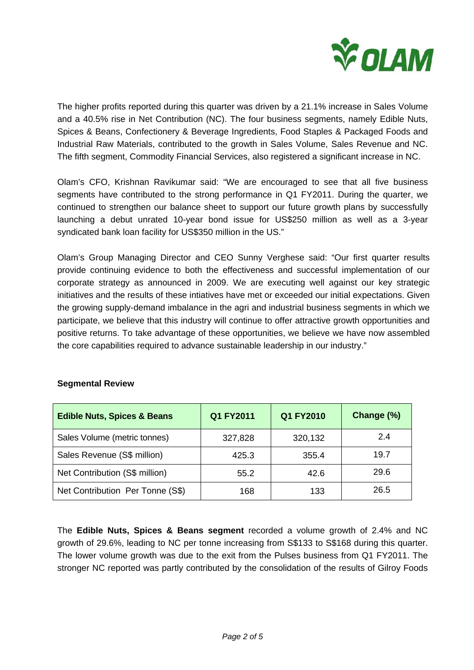

The higher profits reported during this quarter was driven by a 21.1% increase in Sales Volume and a 40.5% rise in Net Contribution (NC). The four business segments, namely Edible Nuts, Spices & Beans, Confectionery & Beverage Ingredients, Food Staples & Packaged Foods and Industrial Raw Materials, contributed to the growth in Sales Volume, Sales Revenue and NC. The fifth segment, Commodity Financial Services, also registered a significant increase in NC.

Olam's CFO, Krishnan Ravikumar said: "We are encouraged to see that all five business segments have contributed to the strong performance in Q1 FY2011. During the quarter, we continued to strengthen our balance sheet to support our future growth plans by successfully launching a debut unrated 10-year bond issue for US\$250 million as well as a 3-year syndicated bank loan facility for US\$350 million in the US."

Olam's Group Managing Director and CEO Sunny Verghese said: "Our first quarter results provide continuing evidence to both the effectiveness and successful implementation of our corporate strategy as announced in 2009. We are executing well against our key strategic initiatives and the results of these intiatives have met or exceeded our initial expectations. Given the growing supply-demand imbalance in the agri and industrial business segments in which we participate, we believe that this industry will continue to offer attractive growth opportunities and positive returns. To take advantage of these opportunities, we believe we have now assembled the core capabilities required to advance sustainable leadership in our industry."

| <b>Edible Nuts, Spices &amp; Beans</b> | Q1 FY2011 | Q1 FY2010 | Change (%) |
|----------------------------------------|-----------|-----------|------------|
| Sales Volume (metric tonnes)           | 327,828   | 320,132   | 2.4        |
| Sales Revenue (S\$ million)            | 425.3     | 355.4     | 19.7       |
| Net Contribution (S\$ million)         | 55.2      | 42.6      | 29.6       |
| Net Contribution Per Tonne (S\$)       | 168       | 133       | 26.5       |

## **Segmental Review**

The **Edible Nuts, Spices & Beans segment** recorded a volume growth of 2.4% and NC growth of 29.6%, leading to NC per tonne increasing from S\$133 to S\$168 during this quarter. The lower volume growth was due to the exit from the Pulses business from Q1 FY2011. The stronger NC reported was partly contributed by the consolidation of the results of Gilroy Foods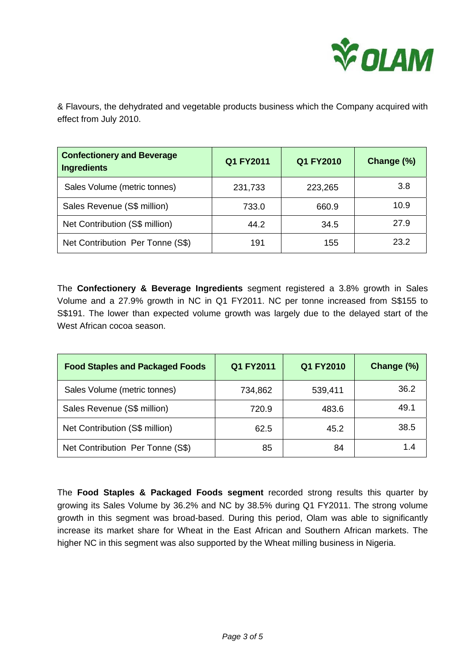

& Flavours, the dehydrated and vegetable products business which the Company acquired with effect from July 2010.

| <b>Confectionery and Beverage</b><br><b>Ingredients</b> | Q1 FY2011 | Q1 FY2010 | Change (%) |
|---------------------------------------------------------|-----------|-----------|------------|
| Sales Volume (metric tonnes)                            | 231,733   | 223,265   | 3.8        |
| Sales Revenue (S\$ million)                             | 733.0     | 660.9     | 10.9       |
| Net Contribution (S\$ million)                          | 44.2      | 34.5      | 27.9       |
| Net Contribution Per Tonne (S\$)                        | 191       | 155       | 23.2       |

The **Confectionery & Beverage Ingredients** segment registered a 3.8% growth in Sales Volume and a 27.9% growth in NC in Q1 FY2011. NC per tonne increased from S\$155 to S\$191. The lower than expected volume growth was largely due to the delayed start of the West African cocoa season.

| <b>Food Staples and Packaged Foods</b> | Q1 FY2011 | Q1 FY2010 | Change (%) |
|----------------------------------------|-----------|-----------|------------|
| Sales Volume (metric tonnes)           | 734,862   | 539,411   | 36.2       |
| Sales Revenue (S\$ million)            | 720.9     | 483.6     | 49.1       |
| Net Contribution (S\$ million)         | 62.5      | 45.2      | 38.5       |
| Net Contribution Per Tonne (S\$)       | 85        | 84        | 1.4        |

The **Food Staples & Packaged Foods segment** recorded strong results this quarter by growing its Sales Volume by 36.2% and NC by 38.5% during Q1 FY2011. The strong volume growth in this segment was broad-based. During this period, Olam was able to significantly increase its market share for Wheat in the East African and Southern African markets. The higher NC in this segment was also supported by the Wheat milling business in Nigeria.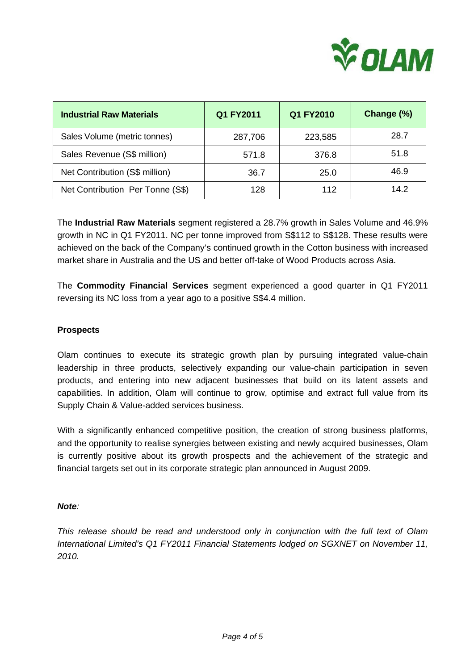

| <b>Industrial Raw Materials</b>  | Q1 FY2011 | Q1 FY2010 | Change (%) |
|----------------------------------|-----------|-----------|------------|
| Sales Volume (metric tonnes)     | 287,706   | 223,585   | 28.7       |
| Sales Revenue (S\$ million)      | 571.8     | 376.8     | 51.8       |
| Net Contribution (S\$ million)   | 36.7      | 25.0      | 46.9       |
| Net Contribution Per Tonne (S\$) | 128       | 112       | 14.2       |

The **Industrial Raw Materials** segment registered a 28.7% growth in Sales Volume and 46.9% growth in NC in Q1 FY2011. NC per tonne improved from S\$112 to S\$128. These results were achieved on the back of the Company's continued growth in the Cotton business with increased market share in Australia and the US and better off-take of Wood Products across Asia.

The **Commodity Financial Services** segment experienced a good quarter in Q1 FY2011 reversing its NC loss from a year ago to a positive S\$4.4 million.

### **Prospects**

Olam continues to execute its strategic growth plan by pursuing integrated value-chain leadership in three products, selectively expanding our value-chain participation in seven products, and entering into new adjacent businesses that build on its latent assets and capabilities. In addition, Olam will continue to grow, optimise and extract full value from its Supply Chain & Value-added services business.

With a significantly enhanced competitive position, the creation of strong business platforms, and the opportunity to realise synergies between existing and newly acquired businesses, Olam is currently positive about its growth prospects and the achievement of the strategic and financial targets set out in its corporate strategic plan announced in August 2009.

#### *Note:*

*This release should be read and understood only in conjunction with the full text of Olam International Limited's Q1 FY2011 Financial Statements lodged on SGXNET on November 11, 2010.*